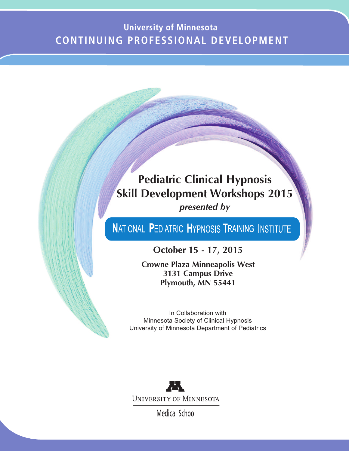# **University of Minnesota CONTINUING PROFESSIONAL DEVELOPMENT**

# **Pediatric Clinical Hypnosis Skill Development Workshops 2015** *presented by*

# NATIONAL PEDIATRIC HYPNOSIS TRAINING INSTITUTE

**October 15 - 17, 2015**

**Crowne Plaza Minneapolis West 3131 Campus Drive Plymouth, MN 55441**

In Collaboration with Minnesota Society of Clinical Hypnosis University of Minnesota Department of Pediatrics



**Medical School**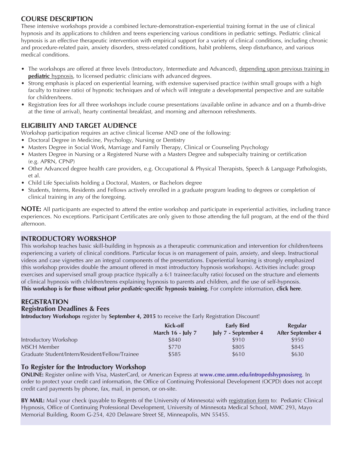# **COURSE DESCRIPTION**

These intensive workshops provide a combined lecture-demonstration-experiential training format in the use of clinical hypnosis and its applications to children and teens experiencing various conditions in pediatric settings. Pediatric clinical hypnosis is an effective therapeutic intervention with empirical support for a variety of clinical conditions, including chronic and procedure-related pain, anxiety disorders, stress-related conditions, habit problems, sleep disturbance, and various medical conditions.

- The workshops are offered at three levels (Introductory, Intermediate and Advanced), depending upon previous training in **pediatric** hypnosis, to licensed pediatric clinicians with advanced degrees.
- Strong emphasis is placed on experiential learning, with extensive supervised practice (within small groups with a high faculty to trainee ratio) of hypnotic techniques and of which will integrate a developmental perspective and are suitable for children/teens.
- Registration fees for all three workshops include course presentations (available online in advance and on a thumb-drive at the time of arrival), hearty continental breakfast, and morning and afternoon refreshments.

# **ELIGIBILITY AND TARGET AUDIENCE**

Workshop participation requires an active clinical license AND one of the following:

- Doctoral Degree in Medicine, Psychology, Nursing or Dentistry
- Masters Degree in Social Work, Marriage and Family Therapy, Clinical or Counseling Psychology
- Masters Degree in Nursing or a Registered Nurse with a Masters Degree and subspecialty training or certification (e.g. APRN, CPNP)
- Other Advanced degree health care providers, e.g. Occupational & Physical Therapists, Speech & Language Pathologists, et al.
- Child Life Specialists holding a Doctoral, Masters, or Bachelors degree
- Students, Interns, Residents and Fellows actively enrolled in a graduate program leading to degrees or completion of clinical training in any of the foregoing.

**NOTE:** All participants are expected to attend the entire workshop and participate in experiential activities, including trance experiences. No exceptions. Participant Certificates are only given to those attending the full program, at the end of the third afternoon.

# **INTRODUCTORY WORKSHOP**

This workshop teaches basic skill-building in hypnosis as a therapeutic communication and intervention for children/teens experiencing a variety of clinical conditions. Particular focus is on management of pain, anxiety, and sleep. Instructional videos and case vignettes are an integral components of the presentations. Experiential learning is strongly emphasized (this workshop provides double the amount offered in most introductory hypnosis workshops). Activities include: group exercises and supervised small group practice (typically a 6:1 trainee:faculty ratio) focused on the structure and elements of clinical hypnosis with children/teens explaining hypnosis to parents and children, and the use of self-hypnosis. **This workshop is for those without prior** *pediatric-specific* **hypnosis training.** For complete information, **click here**.

### **REGISTRATION Registration Deadlines & Fees**

**Introductory Workshops** register by **September 4, 2015** to receive the Early Registration Discount!

|                                                 | Kick-off                 | Early Bird           | <b>Regular</b>    |
|-------------------------------------------------|--------------------------|----------------------|-------------------|
|                                                 | <b>March 16 - July 7</b> | July 7 - September 4 | After September 4 |
| Introductory Workshop                           | \$840                    | \$910                | \$950             |
| MSCH Member                                     | \$770                    | \$805                | \$845             |
| Graduate Student/Intern/Resident/Fellow/Trainee | \$585                    | \$610                | \$630             |

## **To Register for the Introductory Workshop**

**ONLINE:** Register online with Visa, MasterCard, or American Express at **www.cme.umn.edu/intropedshypnosisreg**. In order to protect your credit card information, the Office of Continuing Professional Development (OCPD) does not accept credit card payments by phone, fax, mail, in person, or on-site.

**BY MAIL:** Mail your check (payable to Regents of the University of Minnesota) with registration form to: Pediatric Clinical Hypnosis, Office of Continuing Professional Development, University of Minnesota Medical School, MMC 293, Mayo Memorial Building, Room G-254, 420 Delaware Street SE, Minneapolis, MN 55455.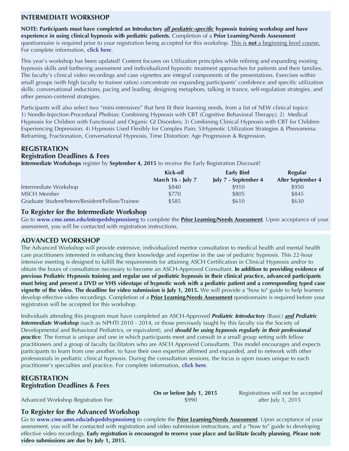# **INTERMEDIATE WORKSHOP**

**NOTE: Participants must have completed an Introductory** *all pediatric-specific* **hypnosis training workshop and have experience in using clinical hypnosis with pediatric patients.** Completion of a **Prior Learning/Needs Assessment** questionnaire is required prior to your registration being accepted for this workshop. This is **not** a beginning level course. For complete information, **[click](www.cme.umn.edu/interpedshypnosisinfo) here**.

This year's workshop has been updated! Content focuses on Utilization principles while refining and expanding existing hypnosis skills and furthering assessment and individualized hypnotic treatment approaches for patients and their families. The faculty's clinical video recordings and case vignettes are integral components of the presentations. Exercises within small groups (with high faculty to trainee ratios) concentrate on expanding participants' confidence and specific utilization skills: conversational inductions, pacing and leading, designing metaphors, talking in trance, self-regulation strategies, and other person-centered strategies.

Participants will also select two "mini-intensives" that best fit their learning needs, from a list of NEW clinical topics: 1) Needle-Injection-Procedural Phobias: Combining Hypnosis with CBT (Cognitive Behavioral Therapy); 2) Medical Hypnosis for Children with Functional and Organic GI Disorders; 3) Combining Clinical Hypnosis with CBT for Children Experiencing Depression; 4) Hypnosis Used Flexibly for Complex Pain; 5)Hypnotic Utilization Strategies & Phenomena: Reframing, Fractionation, Conversational Hypnosis, Time Distortion: Age Progression & Regression.

# **REGISTRATION**

# **Registration Deadlines & Fees**

**Intermediate Workshops** register by **September 4, 2015** to receive the Early Registration Discount!

|                                                 | Kick-off                 | Early Bird           | Regular                  |
|-------------------------------------------------|--------------------------|----------------------|--------------------------|
|                                                 | <b>March 16 - July 7</b> | July 7 - September 4 | <b>After September 4</b> |
| Intermediate Workshop                           | \$840                    | \$910                | \$950                    |
| <b>MSCH Member</b>                              | \$770                    | \$805                | \$845                    |
| Graduate Student/Intern/Resident/Fellow/Trainee | \$585                    | \$610                | \$630                    |

## **To Register for the Intermediate Workshop**

Go to **www.cme.umn.edu/interpedshypnosisreg** to complete the **Prior Learning/Needs Assessment**. Upon acceptance of your assessment, you will be contacted with registration instructions.

## **ADVANCED WORKSHOP**

The Advanced Workshop will provide extensive, individualized mentor consultation to medical health and mental health care practitioners interested in enhancing their knowledge and expertise in the use of pediatric hypnosis. This 22-hour intensive meeting is designed to fulfill the requirements for attaining ASCH Certification in Clinical Hypnosis and/or to obtain the hours of consultation necessary to become an ASCH-Approved Consultant. **In addition to providing evidence of** previous Pediatric Hypnosis training and regular use of pediatric hypnosis in their clinical practice, advanced participants must bring and present a DVD or VHS videotape of hypnotic work with a pediatric patient and a corresponding typed case **vignette of the video. The deadline for video submission is July 1, 2015.** We will provide a "how to" guide to help learners develop effective video recordings. Completion of a **Prior Learning/Needs Assessment** questionnaire is required before your registration will be accepted for this workshop.

Individuals attending this program must have completed an ASCH-Approved *Pediatric Introductory* (Basic) *and Pediatric Intermediate Workshop* (such as NPHTI 2010 - 2014, or those previously taught by this faculty via the Society of Developmental and Behavioral Pediatrics, or equivalent), and *should be using hypnosis regularly in their professional practice*. The format is unique and one in which participants meet and consult in a small group setting with fellow practitioners and a group of faculty facilitators who are ASCH Approved Consultants. This model encourages and expects participants to learn from one another, to have their own expertise affirmed and expanded, and to network with other professionals in pediatric clinical hypnosis. During the consultation sessions, the focus is upon issues unique to each practitioner's specialties and practice. For complete information, **[click](www.cme.umn.edu/advpedshypnosisinfo) here**.

## **REGISTRATION Registration Deadlines & Fees**

**On or before July 1, 2015** Registrations will not be accepted

# Advanced Workshop Registration Fee  $$990$  after July 1, 2015

## **To Register for the Advanced Workshop**

Go to **www.cme.umn.edu/advpedshypnosisreg** to complete the **Prior Learning/Needs Assessment**. Upon acceptance of your assessment, you will be contacted with registration and video submission instructions, and a "how to" guide to developing effective video recordings. Early registration is encouraged to reserve your place and facilitate faculty planning. Please note **video submissions are due by July 1, 2015.**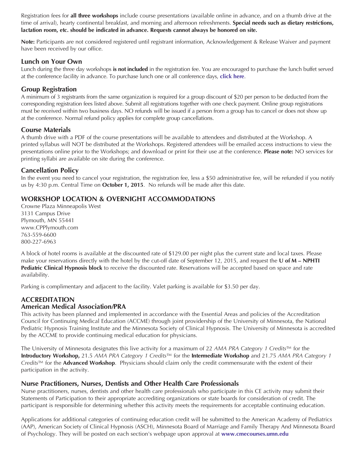Registration fees for **all three workshops** include course presentations (available online in advance, and on a thumb drive at the time of arrival), hearty continental breakfast, and morning and afternoon refreshments. **Special needs such as dietary restrictions, lactation room, etc. should be indicated in advance. Requests cannot always be honored on site.**

**Note:** Participants are not considered registered until registrant information, Acknowledgement & Release Waiver and payment have been received by our office.

# **Lunch on Your Own**

Lunch during the three day workshops **is not included** in the registration fee. You are encouraged to purchase the lunch buffet served at the conference facility in advance. To purchase lunch one or all conference days, **[click](www.cme.umn.edu/advpedshypnosisinfo) here**.

# **Group Registration**

A minimum of 3 registrants from the same organization is required for a group discount of \$20 per person to be deducted from the corresponding registration fees listed above. Submit all registrations together with one check payment. Online group registrations must be received within two business days. NO refunds will be issued if a person from a group has to cancel or does not show up at the conference. Normal refund policy applies for complete group cancellations.

# **Course Materials**

A thumb drive with a PDF of the course presentations will be available to attendees and distributed at the Workshop. A printed syllabus will NOT be distributed at the Workshops. Registered attendees will be emailed access instructions to view the presentations online prior to the Workshops; and download or print for their use at the conference. **Please note:** NO services for printing syllabi are available on site during the conference.

# **Cancellation Policy**

In the event you need to cancel your registration, the registration fee, less a \$50 administrative fee, will be refunded if you notify us by 4:30 p.m. Central Time on **October 1, 2015**. No refunds will be made after this date.

# **WORKSHOP LOCATION & OVERNIGHT ACCOMMODATIONS**

Crowne Plaza Minneapolis West 3131 Campus Drive Plymouth, MN 55441 www.CPPlymouth.com 763-559-6600 800-227-6963

A block of hotel rooms is available at the discounted rate of \$129.00 per night plus the current state and local taxes. Please make your reservations directly with the hotel by the cut-off date of September 12, 2015, and request the **U of M – NPHTI Pediatric Clinical Hypnosis block** to receive the discounted rate. Reservations will be accepted based on space and rate availability.

Parking is complimentary and adjacent to the facility. Valet parking is available for \$3.50 per day.

## **ACCREDITATION American Medical Association/PRA**

This activity has been planned and implemented in accordance with the Essential Areas and policies of the Accreditation Council for Continuing Medical Education (ACCME) through joint providership of the University of Minnesota, the National Pediatric Hypnosis Training Institute and the Minnesota Society of Clinical Hypnosis. The University of Minnesota is accredited by the ACCME to provide continuing medical education for physicians.

The University of Minnesota designates this live activity for a maximum of 22 *AMA PRA Category 1 Credits*™ for the **Introductory Workshop,** 21.5 *AMA PRA Category 1 Credits*™ for the **Intermediate Workshop** and 21.75 *AMA PRA Category 1 Credits*™ for the **Advanced Workshop**. Physicians should claim only the credit commensurate with the extent of their participation in the activity.

# **Nurse Practitioners, Nurses, Dentists and Other Health Care Professionals**

Nurse practitioners, nurses, dentists and other health care professionals who participate in this CE activity may submit their Statements of Participation to their appropriate accrediting organizations or state boards for consideration of credit. The participant is responsible for determining whether this activity meets the requirements for acceptable continuing education.

Applications for additional categories of continuing education credit will be submitted to the American Academy of Pediatrics (AAP), American Society of Clinical Hypnosis (ASCH), Minnesota Board of Marriage and Family Therapy And Minnesota Board of Psychology. They will be posted on each section's webpage upon approval at **<www.cmecourses.umn.edu>**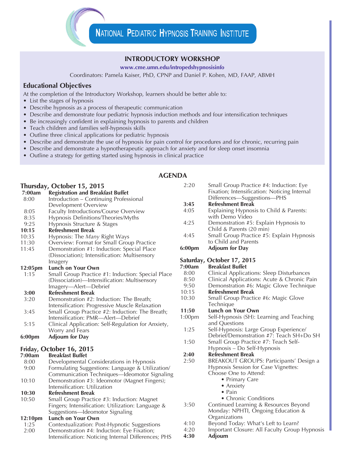## **INTRODUCTORY WORKSHOP**

**www.cme.umn.edu/intropedshypnosisinfo**

Coordinators: Pamela Kaiser, PhD, CPNP and Daniel P. Kohen, MD, FAAP, ABMH

# **Educational Objectives**

At the completion of the Introductory Workshop, learners should be better able to:

- List the stages of hypnosis
- Describe hypnosis as a process of therapeutic communication
- Describe and demonstrate four pediatric hypnosis induction methods and four intensification techniques
- Be increasingly confident in explaining hypnosis to parents and children
- Teach children and families self-hypnosis skills
- Outline three clinical applications for pediatric hypnosis
- Describe and demonstrate the use of hypnosis for pain control for procedures and for chronic, recurring pain
- Describe and demonstrate a hypnotherapeutic approach for anxiety and for sleep onset insomnia
- Outline a strategy for getting started using hypnosis in clinical practice

# **Thursday, October 15, 2015**

|         | Inursday, October 15, 2015                         |
|---------|----------------------------------------------------|
| 7:00am  | <b>Registration and Breakfast Buffet</b>           |
| 8:00    | Introduction - Continuing Professional             |
|         | Development Overview                               |
| 8:05    | <b>Faculty Introductions/Course Overview</b>       |
| 8:35    | Hypnosis Definitions/Theories/Myths                |
| 9:25    | Hypnosis Structure & Stages                        |
| 10:15   | <b>Refreshment Break</b>                           |
| 10:35   | Hypnosis: The <i>Many</i> Right Ways               |
| 11:30   | Overview: Format for Small Group Practice          |
| 11:45   | Demonstration #1: Induction: Special Place         |
|         | (Dissociation); Intensification: Multisensory      |
|         | Imagery                                            |
| 12:05pm | Lunch on Your Own                                  |
| 1:15    | Small Group Practice #1: Induction: Special Place  |
|         | (Dissociation)-Intensification: Multisensory       |
|         | Imagery-Alert-Debrief                              |
| 3:00    | <b>Refreshment Break</b>                           |
| 3:20    | Demonstration #2: Induction: The Breath;           |
|         | Intensification: Progressive Muscle Relaxation     |
| 3:45    | Small Group Practice #2: Induction: The Breath;    |
|         | Intensification: PMR-Alert-Debrief                 |
| 5:15    | Clinical Application: Self-Regulation for Anxiety, |
|         | Worry and Fears                                    |
| 6:00pm  | <b>Adjourn for Day</b>                             |
|         | Friday, October 16, 2015                           |
| 7:00am  | <b>Breakfast Buffet</b>                            |
| 8:00    | Developmental Considerations in Hypnosis           |
| 9:00    | Formulating Suggestions: Language & Utilization/   |
|         | Communication Techniques-Ideomotor Signaling       |
| 10:10   | Demonstration #3: Ideomotor (Magnet Fingers);      |
|         | Intensification: Utilization                       |
| 10:30   | <b>Refreshment Break</b>                           |
| 10:50   | Small Group Practice #3: Induction: Magnet         |
|         |                                                    |

Fingers; Intensification: Utilization: Language & Suggestions—Ideomotor Signaling

### **12:10pm Lunch on Your Own**

- 1:25 Contextualization: Post-Hypnotic Suggestions
- 2:00 Demonstration #4: Induction: Eye Fixation; Intensification: Noticing Internal Differences; PHS
- 2:20 Small Group Practice #4: Induction: Eye Fixation; Intensification: Noticing Internal Differences—Suggestions—PHS **3:45 Refreshment Break** 4:05 Explaining Hypnosis to Child & Parents: with Demo Video 4:25 Demonstration #5: Explain Hypnosis to Child & Parents (20 min) 4:45 Small Group Practice #5: Explain Hypnosis to Child and Parents **6:00pm Adjourn for Day Saturday, October 17, 2015** *Breakfast Buffet* 8:00 Clinical Applications: Sleep Disturbances 8:50 Clinical Applications: Acute & Chronic Pain 9:50 Demonstration #6: Magic Glove Technique 10:15 **Refreshment Break** 10:30 Small Group Practice #6: Magic Glove **Technique 11:50 Lunch on Your Own** 1:00pm Self-Hypnosis (SH): Learning and Teaching and Questions 1:25 Self-Hypnosis: Large Group Experience/ Debrief/Demonstration #7: Teach SH+Do SH 1:50 Small Group Practice #7: Teach Self-Hypnosis – Do Self-Hypnosis **2:40 Refreshment Break** 2:50 BREAKOUT GROUPS: Participants' Design a Hypnosis Session for Case Vignettes: Choose One to Attend: • Primary Care • Anxiety • Pain • Chronic Conditions 3:50 Continued Learning & Resources Beyond Monday: NPHTI, Ongoing Education & **Organizations** 4:10 Beyond Today: What's Left to Learn?
	- 4:20 Important Closure: All Faculty Group Hypnosis
	- **4:30 Adjourn**

## **AGENDA**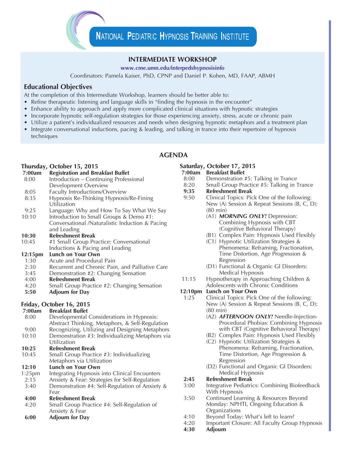### **INTERMEDIATE WORKSHOP**

### **www.cme.umn.edu/interpedshypnosisinfo**

Coordinators: Pamela Kaiser, PhD, CPNP and Daniel P. Kohen, MD, FAAP, ABMH

### **Educational Objectives**

At the completion of this Intermediate Workshop, learners should be better able to:

- Refine therapeutic listening and language skills in "finding the hypnosis in the encounter"
- Enhance ability to approach and apply more complicated clinical situations with hypnotic strategies
- Incorporate hypnotic self-regulation strategies for those experiencing anxiety, stress, acute or chronic pain
- Utilize a patient's individualized resources and needs when designing hypnotic metaphors and a treatment plan
- Integrate conversational inductions, pacing & leading, and talking in trance into their repertoire of hypnosis techniques

## **AGENDA**

### **Thursday, October 15, 2015**

| 7:00am | <b>Registration and Breakfast Buffet</b>        |
|--------|-------------------------------------------------|
| 8:00   | Introduction - Continuing Professional          |
|        | Development Overview                            |
| 8:05   | Faculty Introductions/Overview                  |
| 8:35   | Hypnosis Re-Thinking Hypnosis/Re-Fining         |
|        | Utilization                                     |
| 9:25   | Language: Why and How To Say What We Say        |
| 10:10  | Introduction to Small Groups & Demo #1:         |
|        | Conversational /Naturalistic Induction & Pacing |
|        | and Leading                                     |
|        | n fl.n.l                                        |

- **10:30 Refreshment Break**
- 10:45 #1 Small Group Practice: Conversational Inductions & Pacing and Leading

### **12:15pm Lunch on Your Own**

- 1:30 Acute and Procedural Pain
- 2:30 Recurrent and Chronic Pain, and Palliative Care
- 3:45 Demonstration #2: Changing Sensation
- 4:00 **Refreshment Break**
- 4:20 Small Group Practice #2: Changing Sensation
- **5:50 Adjourn for Day**

# **Friday, October 16, 2015**

| 7:00am    | <b>Breakfast Buffet</b>                         |
|-----------|-------------------------------------------------|
| 8:00      | Developmental Considerations in Hypnosis:       |
|           | Abstract Thinking, Metaphors, & Self-Regulation |
| 9:00      | Recognizing, Utilizing and Designing Metaphors  |
| 10:10     | Demonstration #3: Individualizing Metaphors via |
|           | Utilization                                     |
| 10:25     | <b>Refreshment Break</b>                        |
| 10:45     | Small Group Practice #3: Individualizing        |
|           | Metaphors via Utilization                       |
| 12:10     | Lunch on Your Own                               |
| $1:25$ pm | Integrating Hypnosis into Clinical Encounters   |
| 2:15      | Anxiety & Fear: Strategies for Self-Regulation  |
| 3:40      | Demonstration #4: Self-Regulation of Anxiety &  |
|           | Fear                                            |
| 4:00      | <b>Refreshment Break</b>                        |
| 4:20      | Small Group Practice #4: Self-Regulation of     |
|           | Anxiety & Fear                                  |
| 6:00      | <b>Adjourn for Day</b>                          |

# **Saturday, October 17, 2015**

- **7:00am Breakfast Buffet**
- 8:00 Demonstration #5: Talking in Trance
- 8:20 Small Group Practice #5: Talking in Trance
- **9:35 Refreshment Break**
- Clinical Topics: Pick One of the following: New (A) Session & Repeat Sessions (B, C, D): (80 min)
	- (A1) *MORNING ONLY!* Depression: Combining Hypnosis with CBT (Cognitive Behavioral Therapy)
	- (B1) Complex Pain: Hypnosis Used Flexibly
	- (C1) Hypnotic Utilization Strategies & Phenomena: Reframing, Fractionation, Time Distortion, Age Progression & Regression
	- (D1) Functional & Organic GI Disorders: Medical Hypnosis
- 11:15 Hypnotherapy in Approaching Children & Adolescents with Chronic Conditions

### **12:10pm Lunch on Your Own**

- 1:25 Clinical Topics: Pick One of the following: New (A) Session & Repeat Sessions (B, C, D): (80 min)
	- (A2) *AFTERNOON ONLY!* Needle-Injection-Procedural Phobias: Combining Hypnosis with CBT (Cognitive Behavioral Therapy)
	- (B2) Complex Pain: Hypnosis Used Flexibly
	- (C2) Hypnotic Utilization Strategies & Phenomena: Reframing, Fractionation, Time Distortion, Age Progression & Regression
	- (D2) Functional and Organic GI Disorders: Medical Hypnosis

### **2:45 Refreshment Break**

- 3:00 Integrative Pediatrics: Combining Biofeedback With Hypnosis
- 3:50 Continued Learning & Resources Beyond Monday: NPHTI, Ongoing Education & **Organizations**
- 4:10 Beyond Today: What's left to learn?<br>4:20 Important Closure: All Faculty Grou
- Important Closure: All Faculty Group Hypnosis
- **4:30 Adjourn**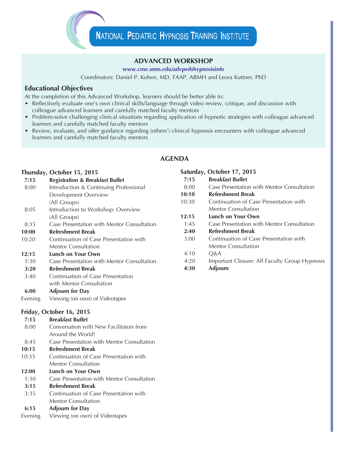# **ADVANCED WORKSHOP**

### **www.cme.umn.edu/advpedshypnosisinfo**

Coordinators: Daniel P. Kohen, MD, FAAP, ABMH and Leora Kuttner, PhD

# **Educational Objectives**

At the completion of this Advanced Workshop, learners should be better able to:

- Reflectively evaluate one's own clinical skills/language through video review, critique, and discussion with colleague advanced learners and carefully matched faculty mentors
- Problem-solve challenging clinical situations regarding application of hypnotic strategies with colleague advanced learners and carefully matched faculty mentors
- Review, evaluate, and offer guidance regarding (others') clinical hypnosis encounters with colleague advanced learners and carefully matched faculty mentors

# **AGENDA**

### **Thursday, October 15, 2015**

**7:15 Registration & Breakfast Buffet** 8:00 Introduction & Continuing Professional Development Overview (All Groups) 8:05 Introduction to Workshop: Overview (All Groups) 8:35 Case Presentation with Mentor Consultation **10:00 Refreshment Break** 10:20 Continuation of Case Presentation with Mentor Consultation **12:15 Lunch on Your Own** 1:30 Case Presentation with Mentor Consultation **3:20 Refreshment Break** 3:40 Continuation of Case Presentation with Mentor Consultation **6:00 Adjourn for Day** Evening Viewing (on own) of Videotapes

|       | Saturday, October 17, 2015                    |
|-------|-----------------------------------------------|
| 7:15  | <b>Breakfast Buffet</b>                       |
| 8:00  | Case Presentation with Mentor Consultation    |
| 10:10 | Refreshment Break                             |
| 10:30 | Continuation of Case Presentation with        |
|       | Mentor Consultation                           |
| 12:15 | Lunch on Your Own                             |
| 1:45  | Case Presentation with Mentor Consultation    |
| 2:40  | <b>Refreshment Break</b>                      |
| 3:00  | Continuation of Case Presentation with        |
|       | Mentor Consultation                           |
| 4:10  | O&A                                           |
| 4:20  | Important Closure: All Faculty Group Hypnosis |
| 4:30  | Adjourn                                       |
|       |                                               |

### **Friday, October 16, 2015**

| <b>Breakfast Buffet</b>                    |
|--------------------------------------------|
| Conversation with New Facilitators from    |
| Around the World!                          |
| Case Presentation with Mentor Consultation |
| <b>Refreshment Break</b>                   |
| Continuation of Case Presentation with     |
| <b>Mentor Consultation</b>                 |
| Lunch on Your Own                          |
| Case Presentation with Mentor Consultation |
| <b>Refreshment Break</b>                   |
| Continuation of Case Presentation with     |
| Mentor Consultation                        |
| <b>Adjourn for Day</b>                     |
| Viewing (on own) of Videotapes             |
|                                            |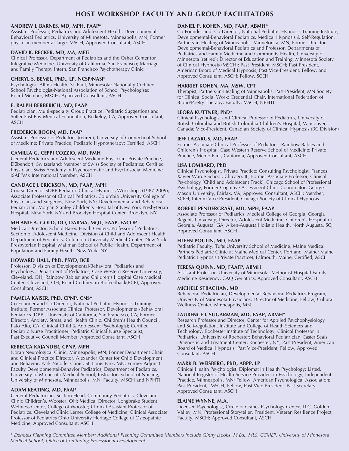# **HOST WORKSHOP FACULTY AND GROUP FACILITATORS**

### **ANDREW J. BARNES, MD, MPH, FAAP\***

Assistant Professor, Pediatrics and Adolescent Health, Developmental-Behavioral Pediatrics, University of Minnesota, Minneapolis, MN; Former physician member-at-large, MSCH; Approved Consultant, ASCH

### **DAVID K. BECKER, MD, MA, MFTi**

Clinical Professor, Department of Pediatrics and the Osher Center for Integrative Medicine, University of California, San Francisco; Marriage and Family Therapy Intern, San Francisco Psychotherapy Clinic

### **CHERYL S. BEMEL, PhD., LP, NCSP/NASP**

Psychologist, Allina Health, St. Paul, Minnesota; Nationally Certified School Psychologist-National Association of School Psychologists; Board Member, MSCH; Approved Consultant, ASCH

### **F. RALPH BERBERICH, MD, FAAP**

Pediatrician, Multi-specialty Group Practice, Pediatric Suggestions and Sutter East Bay Medical Foundation, Berkeley, CA; Approved Consultant, ASCH

### **FREDERICK BOGIN, MD, FAAP**

Assistant Professor of Pediatrics (retired), University of Connecticut School of Medicine; Private Practice, Pediatric Hypnotherapy; Certified, ASCH

### **CAMILLA G. CEPPI COZZIO, MD, FMH**

General Pediatrics and Adolescent Medicine Physician, Private Practice, Dübendorf, Switzerland; Member of Swiss Society of Pediatrics; Certified Physician, Swiss Academy of Psychosomatic and Psychosocial Medicine (SAPPM); International Member, ASCH

### **CANDACE J. ERICKSON, MD, FAAP, MPH**

Course Director SDBP Pediatric Clinical Hypnosis Workshops (1987-2009); Associate Professor of Clinical Pediatrics, Columbia University College of Physicians and Surgeons, New York, NY; Developmental and Behavioral Pediatrician, Morgan Stanley Children's Hospital of New York Presbyterian Hospital, New York, NY and Brooklyn Hospital Center, Brooklyn, NY

### **MELANIE A. GOLD, DO, DABMA, MQT, FAAP, FACOP**

Medical Director, School Based Heath Centers, Professor of Pediatrics, Section of Adolescent Medicine, Division of Child and Adolescent Health, Department of Pediatrics, Columbia University Medical Center, New York Presbyterian Hospital, Mailman School of Public Health, Department of Population and Family Health, New York, NY

### **HOWARD HALL, PhD, PSYD, BCB**

Professor, Division of Developmental/Behavioral Pediatrics and Psychology, Department of Pediatrics, Case Western Reserve University, Cleveland, OH; Rainbow Babies' and Children's Hospital Case Medical Center, Cleveland, OH; Board Certified in Biofeedback(BCB); Approved Consultant, ASCH

### **PAMELA KAISER, PhD, CPNP, CNS\***

Co-Founder and Co-Director, National Pediatric Hypnosis Training Institute; Former Associate Clinical Professor, Developmental-Behavioral Pediatrics (DBP), University of California, San Francisco, CA; Former Director, Anxiety, Stress, and Health Clinic, Children's Health Council, Palo Alto, CA; Clinical Child & Adolescent Psychologist; Certified Pediatric Nurse Practitioner; Pediatric Clinical Nurse Specialist; Past Executive Council Member; Approved Consultant, ASCH

#### **REBECCA KAJANDER, CPNP, MPH**

Noran Neurological Clinic, Minneapolis, MN; Former Department Chair and Clinical Practice Director, Alexander Center for Child Development and Behavior, Park Nicollet Clinic, St. Louis Park, MN; Former Adjunct Faculty Developmental-Behavior Pediatrics, Department of Pediatrics, University of Minnesota Medical School; Instructor, School of Nursing, University of Minnesota, Minneapolis, MN; Faculty, MSCH and NPHTI

### **ADAM KEATING, MD, FAAP**

General Pediatrician, Section Head, Community Pediatrics, Cleveland Clinic Children's, Wooster, OH; Medical Director, Longbrake Student Wellness Center, College of Wooster; Clinical Assistant Professor of Pediatrics, Cleveland Clinic Lerner College of Medicine; Clinical Associate Professor of Pediatrics Ohio University Heritage College of Osteopathic Medicine; Approved Consultant, ASCH

### **DANIEL P. KOHEN, MD, FAAP, ABMH\***

Co-Founder and Co-Director, National Pediatric Hypnosis Training Institute; Developmental-Behavioral Pediatrics, Medical Hypnosis & Self-Regulation, Partners-in-Healing of Minneapolis, Minnetonka, MN; Former Director, Developmental-Behavioral Pediatrics and Professor, Departments of Pediatrics and Family Medicine and Community Health, University of Minnesota (retired); Director of Education and Training, Minnesota Society of Clinical Hypnosis (MSCH); Past President, MSCH; Past President, American Board of Medical Hypnosis; Past Vice-President, Fellow, and Approved Consultant, ASCH; Fellow, SCEH

### **HARRIET KOHEN, MA, MSW, CPT**

Therapist, Partners-in-Healing of Minneapolis; Past-President, MN Society for Clinical Social Work; Credential Chair, International Federation of Biblio/Poetry Therapy; Faculty, MSCH, NPHTI.

### **LEORA KUTTNER, PhD\***

Clinical Psychologist and Clinical Professor of Pediatrics, University of British Columbia and British Columbia Children's Hospital, Vancouver, Canada; Vice-President, Canadian Society of Clinical Hypnosis (BC Division)

#### **JEFF LAZARUS, MD, FAAP**

Former Associate Clinical Professor of Pediatrics, Rainbow Babies and Children's Hospital, Case Western Reserve School of Medicine; Private Practice, Menlo Park, California; Approved Consultant, ASCH

### **LISA LOMBARD, PhD**

Clinical Psychologist, Private Practice; Consulting Psychologist, Frances Xavier Warde School, Chicago, IL; Former Associate Professor, Clinical Psychology (Child and Adolescent Track), Chicago School of Professional Psychology; Former Cognitive Assessment Clinic Coordinator, George Mason University, Fairfax, VA; Approved Consultant, ASCH; Member, SCEH; Interim Vice President, Chicago Society of Clinical Hypnosis

### **ROBERT PENDERGRAST, MD, MPH, FAAP**

Associate Professor of Pediatrics, Medical College of Georgia, Georgia Regents University; Director, Adolescent Medicine, Children's Hospital of Georgia, Augusta, GA; Aiken-Augusta Holistic Health, North Augusta, SC; Approved Consultant, ASCH

### **EILEEN POULIN, MD, FAAP**

Pediatric Faculty, Tufts University School of Medicine, Maine Medical Partners Pediatric Clinic at Maine Medical Center, Portland, Maine; Maine Pediatric Hypnosis (Private Practice), Falmouth, Maine; Certified, ASCH

#### **TERESA QUINN, MD, FAAFP, ABMH**

Assistant Professor, University of Minnesota, Methodist Hospital Family Medicine Residency, CAQ Geriatrics; Approved Consultant, ASCH

#### **MICHELE STRACHAN, MD**

Behavioral Pediatrician, Developmental Behavioral Pediatrics Program, University of Minnesota Physicians; Director of Medicine, Fellow, Cultural Wellness Center, Minneapolis, MN

### **LAURENCE I. SUGARMAN, MD, FAAP, ABMH\***

Research Professor and Director, Center for Applied Psychophysiology and Self-regulation, Institute and College of Health Sciences and Technology, Rochester Institute of Technology; Clinical Professor in Pediatrics, University of Rochester; Behavioral Pediatrician, Easter Seals Diagnostic and Treatment Center, Rochester, NY; Past President, American Board of Medical Hypnosis; Past Vice-President, Fellow, Approved Consultant, ASCH

### **MARK B. WEISBERG, PhD, ABPP, LP**

Clinical Health Psychologist, Diplomat in Health Psychology; Listed, National Register of Health Service Providers in Psychology; Independent Practice, Minneapolis, MN; Fellow, American Psychological Association; Past President, MSCH; Fellow, Past Vice President, Past Secretary, Approved Consultant, ASCH

#### **ELAINE WYNNE, M.A.**

Licensed Psychologist, Circle of Cranes Psychology Center, LLC, Golden Valley, MN; Professional Storyteller, President, Veteran Resilience Project; Faculty, MSCH; Approved Consultant, ASCH

\* Denotes Planning Committee Member; Additional Planning Committee Members include Ginny Jacobs, M.Ed., MLS, CCMEP; University of Minnesota *Medical School, Office of Continuing Professional Development.*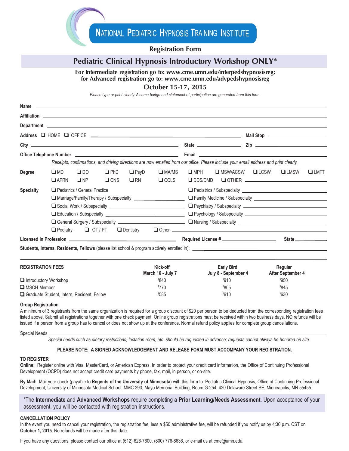### **Registration Form**

# **Pediatric Clinical Hypnosis Introductory Workshop ONLY\***

**For Intermediate registration go to: www.cme.umn.edu/interpedshypnosisreg;**

**for Advanced registration go to: www.cme.umn.edu/advpedshypnosisreg**

### **October 15-17, 2015**

*Please type or print clearly. A name badge and statement of participation are generated from this form.*

|                                           |                             |                               |                           |                          |                             | Receipts, confirmations, and driving directions are now emailed from our office. Please include your email address and print clearly. |                          |  |                                                   |                     |
|-------------------------------------------|-----------------------------|-------------------------------|---------------------------|--------------------------|-----------------------------|---------------------------------------------------------------------------------------------------------------------------------------|--------------------------|--|---------------------------------------------------|---------------------|
| Degree                                    | $\square$ MD<br>$\Box$ APRN | $\Box$ DO<br>$\square$ NP     | $\n  PhD\n$<br>$\Box$ CNS | $\Box$ PsyD<br>$\Box$ RN | $\Box$ MA/MS<br>$\Box$ CCLS | $\square$ MPH                                                                                                                         | <b>□</b> MSW/ACSW □ LCSW |  | $\Box$ LMSW<br>$\Box$ DDS/DMD $\Box$ OTHER $\Box$ | $\Box$ LMFT         |
| <b>Specialty</b>                          |                             | Pediatrics / General Practice |                           |                          |                             |                                                                                                                                       |                          |  |                                                   |                     |
|                                           |                             |                               |                           |                          |                             |                                                                                                                                       |                          |  |                                                   |                     |
|                                           |                             |                               |                           |                          |                             |                                                                                                                                       |                          |  |                                                   |                     |
|                                           |                             |                               |                           |                          |                             |                                                                                                                                       |                          |  |                                                   |                     |
|                                           |                             |                               |                           |                          |                             |                                                                                                                                       |                          |  |                                                   |                     |
|                                           | $\Box$ Podiatry             |                               |                           |                          |                             |                                                                                                                                       |                          |  |                                                   |                     |
|                                           |                             |                               |                           |                          |                             | Required License # ___________________________                                                                                        |                          |  |                                                   | State _____________ |
|                                           |                             |                               |                           |                          |                             |                                                                                                                                       |                          |  |                                                   |                     |
| <b>REGISTRATION FEES</b>                  |                             |                               |                           |                          | Kick-off                    |                                                                                                                                       | <b>Early Bird</b>        |  | Regular                                           |                     |
|                                           |                             |                               |                           |                          | March 16 - July 7           |                                                                                                                                       | July 8 - September 4     |  | After September 4                                 |                     |
| Introductory Workshop                     |                             |                               |                           |                          | \$840                       |                                                                                                                                       | \$910                    |  | \$950                                             |                     |
| <b>LI</b> MSCH Member<br><sup>\$770</sup> |                             |                               |                           |                          | \$805                       |                                                                                                                                       | \$845                    |  |                                                   |                     |

# $\Box$  Graduate Student, Intern, Resident, Fellow  $$585$

#### **Group Registration**

A minimum of 3 registrants from the same organization is required for a group discount of \$20 per person to be deducted from the corresponding registration fees listed above. Submit all registrations together with one check payment. Online group registrations must be received within two business days. NO refunds will be issued if a person from a group has to cancel or does not show up at the conference. Normal refund policy applies for complete group cancellations.

#### Special Needs

**Name**

Special needs such as dietary restrictions, lactation room, etc. should be requested in advance; requests cannot always be honored on site.

 $585$   $^{\circ}$ 

 $$610$ 

630

#### **PLEASE NOTE: A SIGNED ACKNOWLEDGEMENT AND RELEASE FORM MUST ACCOMPANY YOUR REGISTRATION.**

#### **TO REGISTER**

**Online:** Register online with Visa, MasterCard, or American Express. In order to protect your credit card information, the Office of Continuing Professional Development (OCPD) does not accept credit card payments by phone, fax, mail, in person, or on-site.

**By Mail:** Mail your check (payable to **Regents of the University of Minnesota**) with this form to: Pediatric Clinical Hypnosis, Office of Continuing Professional Development, University of Minnesota Medical School, MMC 293, Mayo Memorial Building, Room G-254, 420 Delaware Street SE, Minneapolis, MN 55455.

\*The **Intermediate** and **Advanced Workshops** require completing a **Prior Learning/Needs Assessment**. Upon acceptance of your assessment, you will be contacted with registration instructions.

#### **CANCELLATION POLICY**

In the event you need to cancel your registration, the registration fee, less a \$50 administrative fee, will be refunded if you notify us by 4:30 p.m. CST on **October 1, 2015**. No refunds will be made after this date.

If you have any questions, please contact our office at (612) 626-7600, (800) 776-8636, or e-mail us at cme@umn.edu.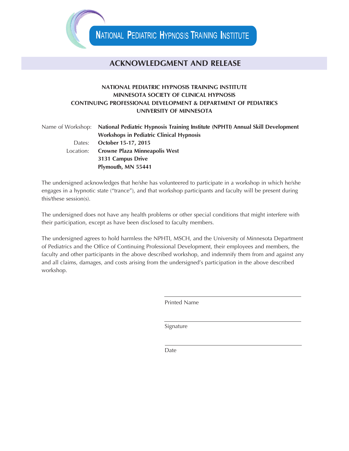# **ACKNOWLEDGMENT AND RELEASE**

# **NATIONAL PEDIATRIC HYPNOSIS TRAINING INSTITUTE MINNESOTA SOCIETY OF CLINICAL HYPNOSIS CONTINUING PROFESSIONAL DEVELOPMENT & DEPARTMENT OF PEDIATRICS UNIVERSITY OF MINNESOTA**

|           | Name of Workshop: National Pediatric Hypnosis Training Institute (NPHTI) Annual Skill Development |  |  |  |  |
|-----------|---------------------------------------------------------------------------------------------------|--|--|--|--|
|           | <b>Workshops in Pediatric Clinical Hypnosis</b>                                                   |  |  |  |  |
| Dates:    | October 15-17, 2015                                                                               |  |  |  |  |
| Location: | <b>Crowne Plaza Minneapolis West</b>                                                              |  |  |  |  |
|           | 3131 Campus Drive                                                                                 |  |  |  |  |
|           | Plymouth, MN 55441                                                                                |  |  |  |  |

The undersigned acknowledges that he/she has volunteered to participate in a workshop in which he/she engages in a hypnotic state ("trance"), and that workshop participants and faculty will be present during this/these session(s).

The undersigned does not have any health problems or other special conditions that might interfere with their participation, except as have been disclosed to faculty members.

The undersigned agrees to hold harmless the NPHTI, MSCH, and the University of Minnesota Department of Pediatrics and the Office of Continuing Professional Development, their employees and members, the faculty and other participants in the above described workshop, and indemnify them from and against any and all claims, damages, and costs arising from the undersigned's participation in the above described workshop.

Printed Name

Signature

Date